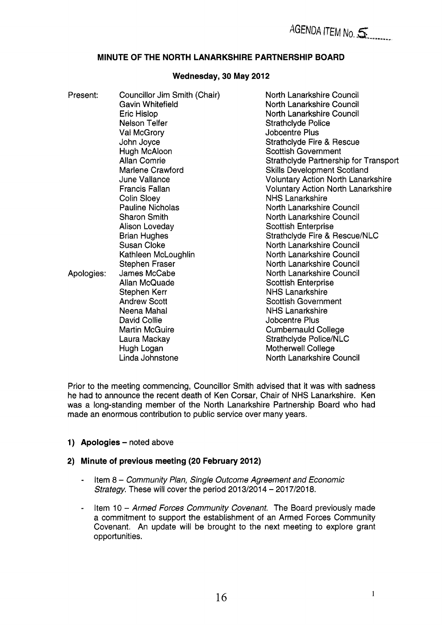AGENDA ITEM No. 5

# **MINUTE OF THE NORTH LANARKSHIRE PARTNERSHIP BOARD**

#### **Wednesday, 30 May 2012**

| Present:   | Councillor Jim Smith (Chair) | North Lanarkshire Council                 |
|------------|------------------------------|-------------------------------------------|
|            | <b>Gavin Whitefield</b>      | North Lanarkshire Council                 |
|            | Eric Hislop                  | North Lanarkshire Council                 |
|            | Nelson Telfer                | <b>Strathclyde Police</b>                 |
|            | Val McGrory                  | Jobcentre Plus                            |
|            | John Joyce                   | <b>Strathclyde Fire &amp; Rescue</b>      |
|            | Hugh McAloon                 | <b>Scottish Government</b>                |
|            | <b>Allan Comrie</b>          | Strathclyde Partnership for Transport     |
|            | Marlene Crawford             | <b>Skills Development Scotland</b>        |
|            | June Vallance                | <b>Voluntary Action North Lanarkshire</b> |
|            | <b>Francis Fallan</b>        | <b>Voluntary Action North Lanarkshire</b> |
|            | Colin Sloey                  | <b>NHS Lanarkshire</b>                    |
|            | <b>Pauline Nicholas</b>      | North Lanarkshire Council                 |
|            | <b>Sharon Smith</b>          | North Lanarkshire Council                 |
|            | Alison Loveday               | <b>Scottish Enterprise</b>                |
|            | <b>Brian Hughes</b>          | Strathclyde Fire & Rescue/NLC             |
|            | <b>Susan Cloke</b>           | <b>North Lanarkshire Council</b>          |
|            | Kathleen McLoughlin          | North Lanarkshire Council                 |
|            | <b>Stephen Fraser</b>        | North Lanarkshire Council                 |
| Apologies: | James McCabe                 | North Lanarkshire Council                 |
|            | <b>Allan McQuade</b>         | <b>Scottish Enterprise</b>                |
|            | Stephen Kerr                 | <b>NHS Lanarkshire</b>                    |
|            | <b>Andrew Scott</b>          | <b>Scottish Government</b>                |
|            | Neena Mahal                  | <b>NHS Lanarkshire</b>                    |
|            | <b>David Collie</b>          | Jobcentre Plus                            |
|            | <b>Martin McGuire</b>        | <b>Cumbernauld College</b>                |
|            | Laura Mackay                 | <b>Strathclyde Police/NLC</b>             |
|            | Hugh Logan                   | <b>Motherwell College</b>                 |
|            | Linda Johnstone              | North Lanarkshire Council                 |
|            |                              |                                           |

Prior to the meeting commencing, Councillor Smith advised that it was with sadness he had to announce the recent death of Ken Corsar, Chair of NHS Lanarkshire. Ken was a long-standing member of the North Lanarkshire Partnership Board who had made an enormous contribution to public service over many years.

#### **1)** Apologies - noted above

#### **2) Minute of previous meeting (20 February 2012)**

- Item 8 *Community Plan, Single Outcome Agreement and Economic Strategy.* These will cover the period 2013/2014 - 2017/2018.
- Item 10 *Armed Forces Community Covenant.* The Board previously made a commitment to support the establishment of an Armed Forces Community Covenant. An update will be brought to the next meeting to explore grant opportunities.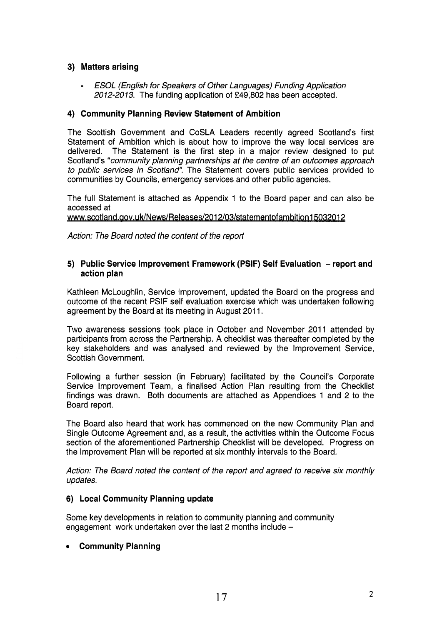# **3) Matters arising**

- *€SOL (English for Speakers of Other Languages) Funding Application 2072-2073.* The funding application of **f49,802** has been accepted.

# **4) Community Planning Review Statement of Ambition**

The Scottish Government and CoSLA Leaders recently agreed Scotland's first Statement of Ambition which is about how to improve the way local services are delivered. The Statement is the first step in a major review designed to put The Statement is the first step in a major review designed to put Scotland's *"community planning partnerships at the centre of an outcomes approach to public services in Scotland".* The Statement covers public services provided to communities by Councils, emergency services and other public agencies.

The full Statement is attached as Appendix **1** to the Board paper and can also be accessed at

www.scotland.aov.uk/News/Releases/2012/03/statementofambition **1 503201 2** 

*Action: The Board noted the content of the report* 

# **5) Public Service Improvement Framework (PSIF) Self Evaluation - report and action plan**

Kathleen McLoughlin, Service Improvement, updated the Board on the progress and outcome of the recent PSIF self evaluation exercise which was undertaken following agreement by the Board at its meeting in August **201 1.** 

Two awareness sessions took place in October and November **2011** attended by participants from across the Partnership. A checklist was thereafter completed by the key stakeholders and was analysed and reviewed by the Improvement Service, Scottish Government.

Following a further session (in February) facilitated by the Council's Corporate Service Improvement Team, a finalised Action Plan resulting from the Checklist findings was drawn. Both documents are attached as Appendices **1** and **2** to the Board report.

The Board also heard that work has commenced on the new Community Plan and Single Outcome Agreement and, as a result, the activities within the Outcome Focus section of the aforementioned Partnership Checklist will be developed. Progress on the Improvement Plan will be reported at six monthly intervals to the Board.

*Action: The Board noted the content of the report and agreed to receive six monthly updates.* 

# **6) Local Community Planning update**

Some key developments in relation to community planning and community engagement work undertaken over the last **2** months include -

# *<sup>0</sup>***Community Planning**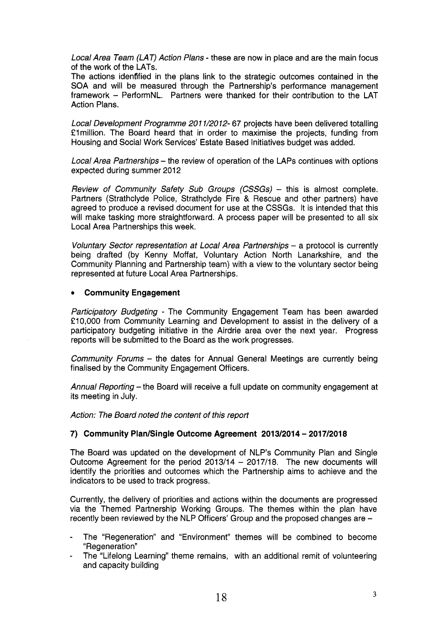Local Area Team (LAT) Action Plans - these are now in place and are the main focus of the work of the LATs.

The actions idenfified in the plans link to the strategic outcomes contained in the SOA and will be measured through the Partnership's performance management framework - PerformNL. Partners were thanked for their contribution to the LAT Action Plans.

*Local Development Programme 207 7/2072-* 67 projects have been delivered totalling £1 million. The Board heard that in order to maximise the projects, funding from Housing and Social Work Services' Estate Based Initiatives budget was added.

*Local Area Partnerships* - the review of operation of the LAPS continues with options expected during summer 2012

*Review of Community Safety Sub Groups (CSSGs) - this is almost complete.* Partners (Strathclyde Police, Strathclyde Fire & Rescue and other partners) have agreed to produce a revised document for use at the CSSGs. It is intended that this will make tasking more straightforward. A process paper will be presented to all six Local Area Partnerships this week.

*Voluntary Sector representation at Local Area Partnerships - a protocol is currently* being drafted (by Kenny Moffat, Voluntary Action North Lanarkshire, and the Community Planning and Partnership team) with a view to the voluntary sector being represented at future Local Area Partnerships.

#### **Community Engagement**

*Participatory Budgeting* - The Community Engagement Team has been awarded £10,000 from Community Learning and Development to assist in the delivery of a participatory budgeting initiative in the Airdrie area over the next year. Progress reports will be submitted to the Board as the work progresses.

*Community Forums* - the dates for Annual General Meetings are currently being finalised by the Community Engagement Officers.

*Annual Reporting* -the Board will receive a full update on community engagement at its meeting in July.

*Action: The Board noted the content of this report* 

#### **7) Community Plan/Single Outcome Agreement 2013/2014** - **201 7/2018**

The Board was updated on the development of NLP's Community Plan and Single Outcome Agreement for the period  $2013/14 - 2017/18$ . The new documents will identify the priorities and outcomes which the Partnership aims to achieve and the indicators to be used to track progress.

Currently, the delivery of priorities and actions within the documents are progressed via the Themed Partnership Working Groups. The themes within the plan have recently been reviewed by the NLP Officers' Group and the proposed changes are  $-$ 

- The "Regeneration" and "Environment" themes will be combined to become "Regeneration"
- The "Lifelong Learning" theme remains, with an additional remit of volunteering and capacity building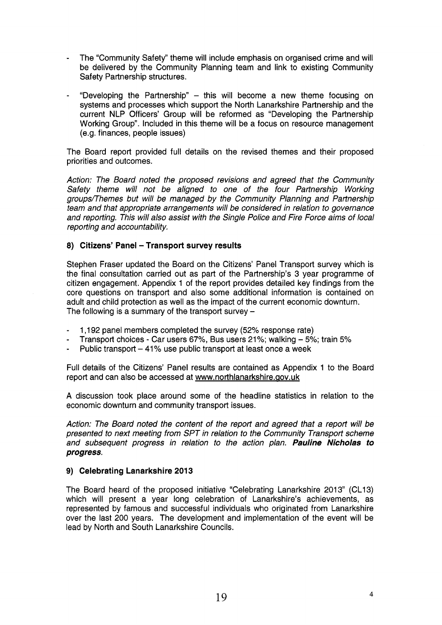- The "Community Safety" theme will include emphasis on organised crime and will be delivered by the Community Planning team and link to existing Community Safety Partnership structures.
- "Developing the Partnership" this will become a new theme focusing on systems and processes which support the North Lanarkshire Partnership and the current NLP Officers' Group will be reformed as "Developing the Partnership Working Group". Included in this theme will be a focus on resource management (e.g. finances, people issues)

The Board report provided full details on the revised themes and their proposed priorities and outcomes.

*Action: The Board noted the proposed revisions and agreed that the Community Safety theme will not be aligned to one of the four Partnership Working*  groups/Themes but will be managed by the Community Planning and Partnership *team and that appropriate arrangements will be considered in relation to governance and reporting. This will also assist with the Single Police and Fire Force aims of local reporting and accountability.* 

# 8) Citizens' Panel - Transport survey results

Stephen Fraser updated the Board on the Citizens' Panel Transport survey which is the final consultation carried out as part of the Partnership's 3 year programme of citizen engagement. Appendix 1 of the report provides detailed key findings from the core questions on transport and also some additional information is contained on adult and child protection as well as the impact of the current economic downturn. The following is a summary of the transport survey  $-$ 

- 1,192 panel members completed the survey (52% response rate)
- Transport choices - Car users **67%'** Bus users 21%; walking - 5%; train 5%
- Public transport  $-41\%$  use public transport at least once a week

Full details of the Citizens' Panel results are contained as Appendix 1 to the Board report and can also be accessed at www.northlanarkshire.gov.uk

A discussion took place around some of the headline statistics in relation to the economic downturn and community transport issues.

*Action: The Board noted the content of the report and agreed that a report will be presented to next meeting from SPT in relation to the Community Transport scheme and subsequent progress in relation to the action plan. Pauline Nicholas to progress.* 

#### **9) Celebrating Lanarkshire 2013**

The Board heard of the proposed initiative "Celebrating Lanarkshire 2013" (CL13) which will present a year long celebration of Lanarkshire's achievements, as represented by famous and successful individuals who originated from Lanarkshire over the last 200 years. The development and implementation of the event will be lead by North and South Lanarkshire Councils.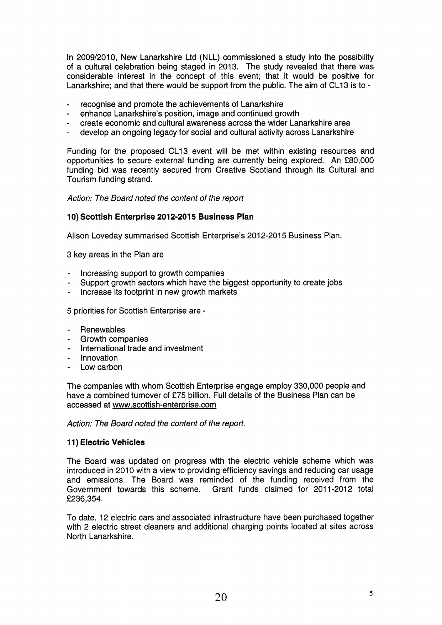In **2009/2010,** New Lanarkshire Ltd (NLL) commissioned a study into the possibility of a cultural celebration being staged in **2013.** The study revealed that there was considerable interest in the concept of this event; that it would be positive for Lanarkshire; and that there would be support from the public. The aim of CL13 is to -

- recognise and promote the achievements of Lanarkshire
- enhance Lanarkshire's position, image and continued growth
- create economic and cultural awareness across the wider Lanarkshire area
- develop an ongoing legacy for social and cultural activity across Lanarkshire

Funding for the proposed CL13 event will be met within existing resources and opportunities to secure external funding are currently being explored. An **f80,000**  funding bid was recently secured from Creative Scotland through its Cultural and Tourism funding strand.

*Action: The Board noted the content of the report* 

#### **10) Scottish Enterprise 2012-2015 Business Plan**

Alison Loveday summarised Scottish Enterprise's **201 2-201 5** Business Plan.

**3** key areas in the Plan are

- Increasing support to growth companies
- Support growth sectors which have the biggest opportunity to create jobs
- Increase its footprint in new growth markets

**5** priorities for Scottish Enterprise are -

- **Renewables**
- Growth companies
- International trade and investment
- **Innovation**
- Low carbon

The companies with whom Scottish Enterprise engage employ **330,000** people and have a combined turnover of **f75** billion. Full details of the Business Plan can be accessed at www.scottish-enterprise.com

*Action: The Board noted the content of the report.* 

#### **11) Electric Vehicles**

The Board was updated on progress with the electric vehicle scheme which was introduced in 2010 with a view to providing efficiency savings and reducing car usage and emissions. The Board was reminded of the funding received from the<br>Government towards this scheme. Grant funds claimed for 2011-2012 total Government towards this scheme. **€236,354.** 

To date, **12** electric cars and associated infrastructure have been purchased together with **2** electric street cleaners and additional charging points located at sites across North Lanarkshire.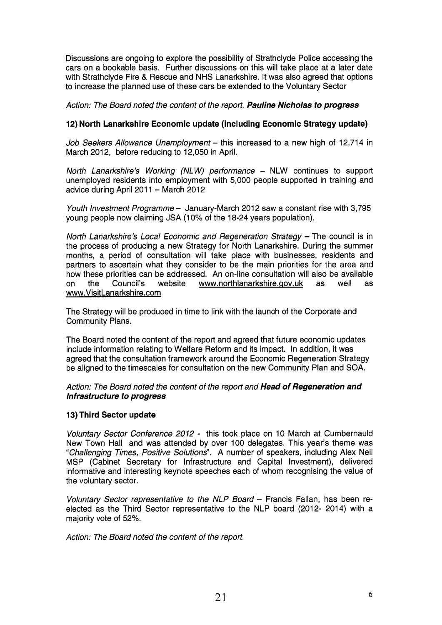Discussions are ongoing to explore the possibility of Strathclyde Police accessing the cars on a bookable basis. Further discussions on this will take place at a later date with Strathclyde Fire & Rescue and NHS Lanarkshire. It was also agreed that options to increase the planned use of these cars be extended to the Voluntary Sector

*Action: The Board noted the content of the report. Pauline Nicholas to progress* 

#### **12) North Lanarkshire Economic update (including Economic Strategy update)**

*Job Seekers Allowance Unemployment* - this increased to a new high of 12,714 in March 2012, before reducing to 12,050 in April.

*North Lanarkshire's Working (NLW) performance - NLW continues to support* unemployed residents into employment with 5,000 people supported in training and advice during April  $2011 -$  March 2012

*Youth Investment Programme - January-March 2012 saw a constant rise with 3,795* young people now claiming JSA (10% of the 18-24 years population).

*North Lanarkshire's Local Economic and Regeneration Strategy - The council is in* the process of producing a new Strategy for North Lanarkshire. During the summer months, a period of consultation will take place with businesses, residents and partners to ascertain what they consider to be the main priorities for the area and how these priorities can be addressed. An on-line consultation will also be available on the Council's website [www.northlanarkshire.aov.uk](http://www.northlanarkshire.aov.uk) as well as [www.VisitLanarkshire.com](http://www.VisitLanarkshire.com)

The Strategy will be produced in time to link with the launch of the Corporate and Community Plans.

The Board noted the content of the report and agreed that future economic updates include information relating to Welfare Reform and its impact. In addition, it was agreed that the consultation framework around the Economic Regeneration Strategy be aligned to the timescales for consultation on the new Community Plan and **SOA.** 

*Action: The Board noted the content of the report and Head of Regeneration and Infrastructure to progress* 

#### **13) Third Sector update**

*Voluntary Sector Conference 2072* - this took place on 10 March at Cumbernauld New Town Hall and was attended by over 100 delegates. This year's theme was *"Challenging Times, Positive Solutions".* A number of speakers, including Alex Neil MSP (Cabinet Secretary for Infrastructure and Capital Investment), delivered informative and interesting keynote speeches each of whom recognising the value of the voluntary sector.

*Voluntary Sector representative to the NLP Board - Francis Fallan, has been re*elected as the Third Sector representative to the NLP board (2012- 2014) with a majority vote of 52%.

*Action: The Board noted the content of the report.*